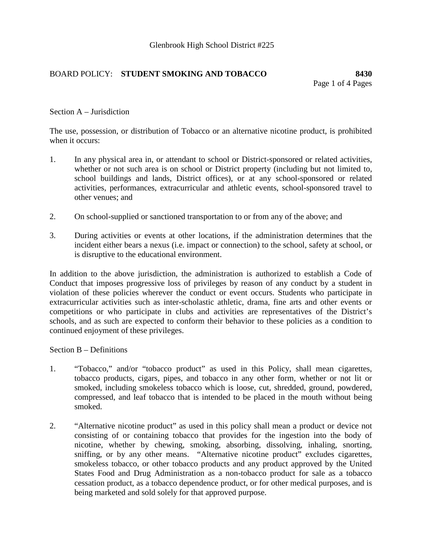# BOARD POLICY: **STUDENT SMOKING AND TOBACCO 8430**

#### Section A – Jurisdiction

The use, possession, or distribution of Tobacco or an alternative nicotine product, is prohibited when it occurs:

- 1. In any physical area in, or attendant to school or District-sponsored or related activities, whether or not such area is on school or District property (including but not limited to, school buildings and lands, District offices), or at any school-sponsored or related activities, performances, extracurricular and athletic events, school-sponsored travel to other venues; and
- 2. On school-supplied or sanctioned transportation to or from any of the above; and
- 3. During activities or events at other locations, if the administration determines that the incident either bears a nexus (i.e. impact or connection) to the school, safety at school, or is disruptive to the educational environment.

In addition to the above jurisdiction, the administration is authorized to establish a Code of Conduct that imposes progressive loss of privileges by reason of any conduct by a student in violation of these policies wherever the conduct or event occurs. Students who participate in extracurricular activities such as inter-scholastic athletic, drama, fine arts and other events or competitions or who participate in clubs and activities are representatives of the District's schools, and as such are expected to conform their behavior to these policies as a condition to continued enjoyment of these privileges.

#### Section B – Definitions

- 1. "Tobacco," and/or "tobacco product" as used in this Policy, shall mean cigarettes, tobacco products, cigars, pipes, and tobacco in any other form, whether or not lit or smoked, including smokeless tobacco which is loose, cut, shredded, ground, powdered, compressed, and leaf tobacco that is intended to be placed in the mouth without being smoked.
- 2. "Alternative nicotine product" as used in this policy shall mean a product or device not consisting of or containing tobacco that provides for the ingestion into the body of nicotine, whether by chewing, smoking, absorbing, dissolving, inhaling, snorting, sniffing, or by any other means. "Alternative nicotine product" excludes cigarettes, smokeless tobacco, or other tobacco products and any product approved by the United States Food and Drug Administration as a non-tobacco product for sale as a tobacco cessation product, as a tobacco dependence product, or for other medical purposes, and is being marketed and sold solely for that approved purpose.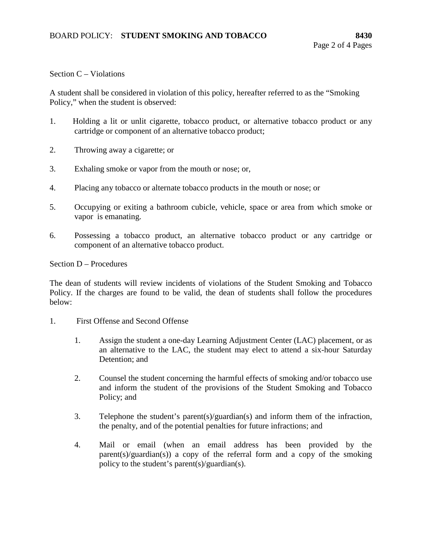### Section C – Violations

A student shall be considered in violation of this policy, hereafter referred to as the "Smoking Policy," when the student is observed:

- 1. Holding a lit or unlit cigarette, tobacco product, or alternative tobacco product or any cartridge or component of an alternative tobacco product;
- 2. Throwing away a cigarette; or
- 3. Exhaling smoke or vapor from the mouth or nose; or,
- 4. Placing any tobacco or alternate tobacco products in the mouth or nose; or
- 5. Occupying or exiting a bathroom cubicle, vehicle, space or area from which smoke or vapor is emanating.
- 6. Possessing a tobacco product, an alternative tobacco product or any cartridge or component of an alternative tobacco product.

Section D – Procedures

The dean of students will review incidents of violations of the Student Smoking and Tobacco Policy. If the charges are found to be valid, the dean of students shall follow the procedures below:

- 1. First Offense and Second Offense
	- 1. Assign the student a one-day Learning Adjustment Center (LAC) placement, or as an alternative to the LAC, the student may elect to attend a six-hour Saturday Detention; and
	- 2. Counsel the student concerning the harmful effects of smoking and/or tobacco use and inform the student of the provisions of the Student Smoking and Tobacco Policy; and
	- 3. Telephone the student's parent(s)/guardian(s) and inform them of the infraction, the penalty, and of the potential penalties for future infractions; and
	- 4. Mail or email (when an email address has been provided by the parent(s)/guardian(s)) a copy of the referral form and a copy of the smoking policy to the student's parent(s)/guardian(s).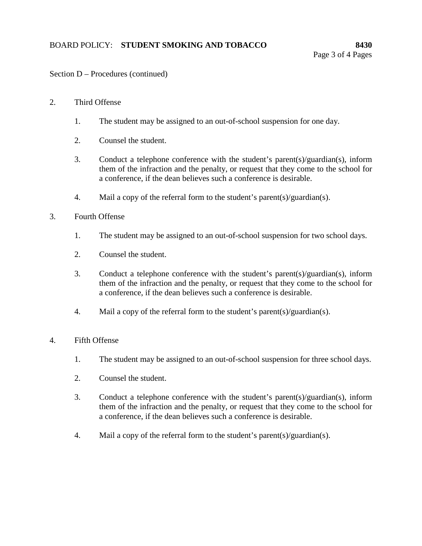# Section D – Procedures (continued)

# 2. Third Offense

- 1. The student may be assigned to an out-of-school suspension for one day.
- 2. Counsel the student.
- 3. Conduct a telephone conference with the student's parent(s)/guardian(s), inform them of the infraction and the penalty, or request that they come to the school for a conference, if the dean believes such a conference is desirable.
- 4. Mail a copy of the referral form to the student's parent(s)/guardian(s).
- 3. Fourth Offense
	- 1. The student may be assigned to an out-of-school suspension for two school days.
	- 2. Counsel the student.
	- 3. Conduct a telephone conference with the student's parent(s)/guardian(s), inform them of the infraction and the penalty, or request that they come to the school for a conference, if the dean believes such a conference is desirable.
	- 4. Mail a copy of the referral form to the student's parent(s)/guardian(s).

### 4. Fifth Offense

- 1. The student may be assigned to an out-of-school suspension for three school days.
- 2. Counsel the student.
- 3. Conduct a telephone conference with the student's parent(s)/guardian(s), inform them of the infraction and the penalty, or request that they come to the school for a conference, if the dean believes such a conference is desirable.
- 4. Mail a copy of the referral form to the student's parent(s)/guardian(s).